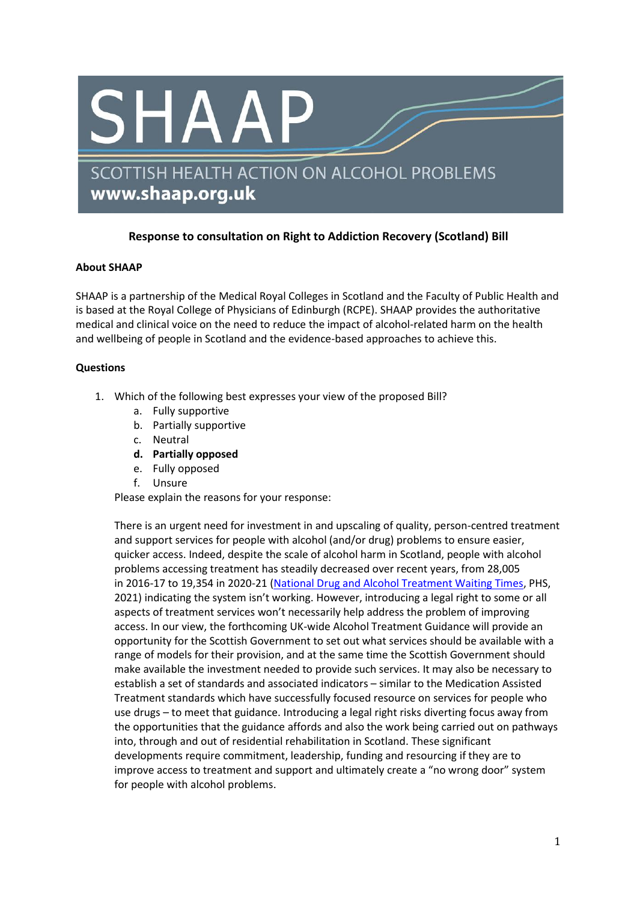

## **Response to consultation on Right to Addiction Recovery (Scotland) Bill**

## **About SHAAP**

SHAAP is a partnership of the Medical Royal Colleges in Scotland and the Faculty of Public Health and is based at the Royal College of Physicians of Edinburgh (RCPE). SHAAP provides the authoritative medical and clinical voice on the need to reduce the impact of alcohol-related harm on the health and wellbeing of people in Scotland and the evidence-based approaches to achieve this.

## **Questions**

- 1. Which of the following best expresses your view of the proposed Bill?
	- a. Fully supportive
	- b. Partially supportive
	- c. Neutral
	- **d. Partially opposed**
	- e. Fully opposed
	- f. Unsure

Please explain the reasons for your response:

There is an urgent need for investment in and upscaling of quality, person-centred treatment and support services for people with alcohol (and/or drug) problems to ensure easier, quicker access. Indeed, despite the scale of alcohol harm in Scotland, people with alcohol problems accessing treatment has steadily decreased over recent years, from 28,005 in 2016-17 to 19,354 in 2020-21 [\(National Drug and Alcohol Treatment Waiting Times,](https://publichealthscotland.scot/publications/national-drug-and-alcohol-treatment-waiting-times/national-drug-and-alcohol-treatment-waiting-times-1-january-to-31-march-2021/) PHS, 2021) indicating the system isn't working. However, introducing a legal right to some or all aspects of treatment services won't necessarily help address the problem of improving access. In our view, the forthcoming UK-wide Alcohol Treatment Guidance will provide an opportunity for the Scottish Government to set out what services should be available with a range of models for their provision, and at the same time the Scottish Government should make available the investment needed to provide such services. It may also be necessary to establish a set of standards and associated indicators – similar to the Medication Assisted Treatment standards which have successfully focused resource on services for people who use drugs – to meet that guidance. Introducing a legal right risks diverting focus away from the opportunities that the guidance affords and also the work being carried out on pathways into, through and out of residential rehabilitation in Scotland. These significant developments require commitment, leadership, funding and resourcing if they are to improve access to treatment and support and ultimately create a "no wrong door" system for people with alcohol problems.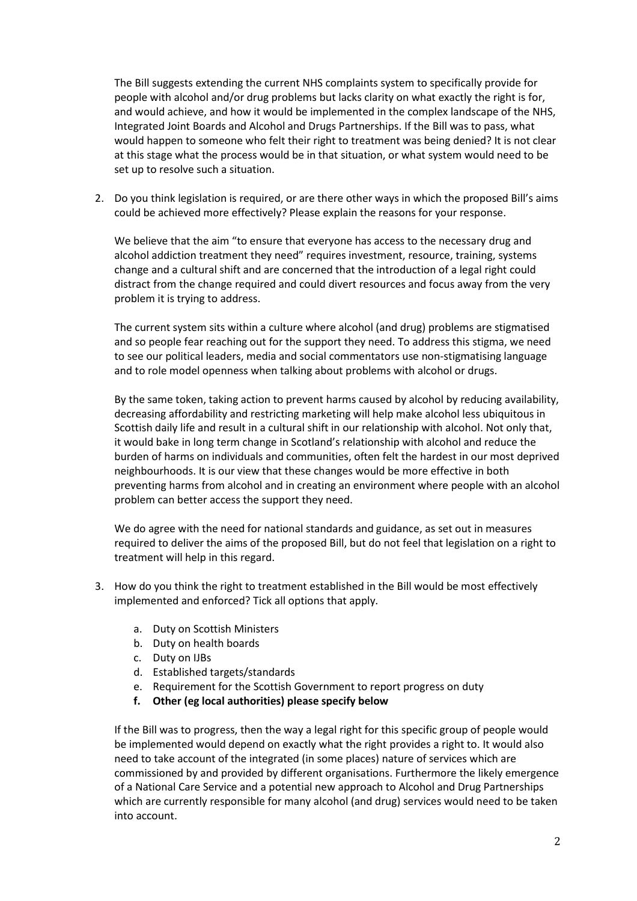The Bill suggests extending the current NHS complaints system to specifically provide for people with alcohol and/or drug problems but lacks clarity on what exactly the right is for, and would achieve, and how it would be implemented in the complex landscape of the NHS, Integrated Joint Boards and Alcohol and Drugs Partnerships. If the Bill was to pass, what would happen to someone who felt their right to treatment was being denied? It is not clear at this stage what the process would be in that situation, or what system would need to be set up to resolve such a situation.

2. Do you think legislation is required, or are there other ways in which the proposed Bill's aims could be achieved more effectively? Please explain the reasons for your response.

We believe that the aim "to ensure that everyone has access to the necessary drug and alcohol addiction treatment they need" requires investment, resource, training, systems change and a cultural shift and are concerned that the introduction of a legal right could distract from the change required and could divert resources and focus away from the very problem it is trying to address.

The current system sits within a culture where alcohol (and drug) problems are stigmatised and so people fear reaching out for the support they need. To address this stigma, we need to see our political leaders, media and social commentators use non-stigmatising language and to role model openness when talking about problems with alcohol or drugs.

By the same token, taking action to prevent harms caused by alcohol by reducing availability, decreasing affordability and restricting marketing will help make alcohol less ubiquitous in Scottish daily life and result in a cultural shift in our relationship with alcohol. Not only that, it would bake in long term change in Scotland's relationship with alcohol and reduce the burden of harms on individuals and communities, often felt the hardest in our most deprived neighbourhoods. It is our view that these changes would be more effective in both preventing harms from alcohol and in creating an environment where people with an alcohol problem can better access the support they need.

We do agree with the need for national standards and guidance, as set out in measures required to deliver the aims of the proposed Bill, but do not feel that legislation on a right to treatment will help in this regard.

- 3. How do you think the right to treatment established in the Bill would be most effectively implemented and enforced? Tick all options that apply.
	- a. Duty on Scottish Ministers
	- b. Duty on health boards
	- c. Duty on IJBs
	- d. Established targets/standards
	- e. Requirement for the Scottish Government to report progress on duty
	- **f. Other (eg local authorities) please specify below**

If the Bill was to progress, then the way a legal right for this specific group of people would be implemented would depend on exactly what the right provides a right to. It would also need to take account of the integrated (in some places) nature of services which are commissioned by and provided by different organisations. Furthermore the likely emergence of a National Care Service and a potential new approach to Alcohol and Drug Partnerships which are currently responsible for many alcohol (and drug) services would need to be taken into account.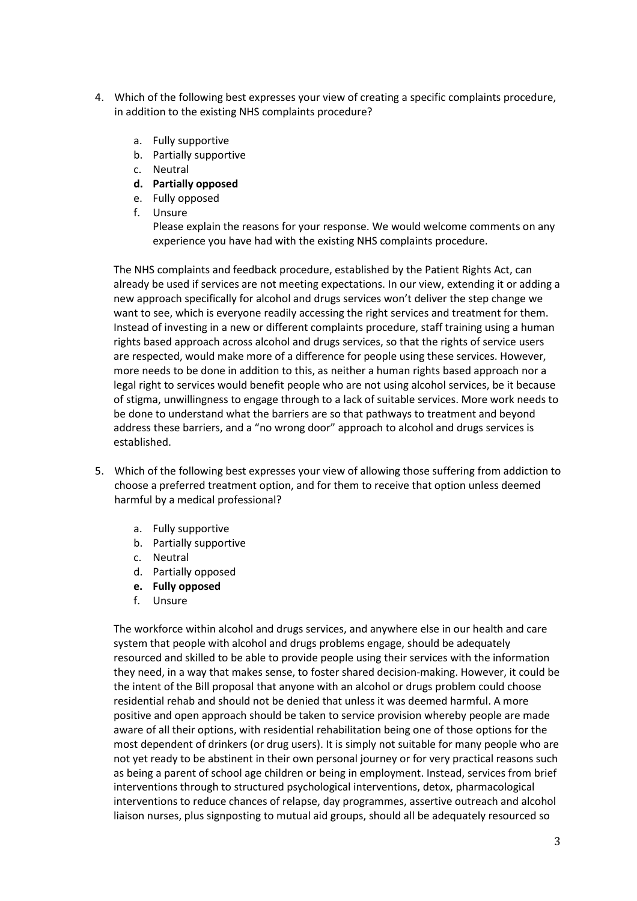- 4. Which of the following best expresses your view of creating a specific complaints procedure, in addition to the existing NHS complaints procedure?
	- a. Fully supportive
	- b. Partially supportive
	- c. Neutral
	- **d. Partially opposed**
	- e. Fully opposed
	- f. Unsure

Please explain the reasons for your response. We would welcome comments on any experience you have had with the existing NHS complaints procedure.

The NHS complaints and feedback procedure, established by the Patient Rights Act, can already be used if services are not meeting expectations. In our view, extending it or adding a new approach specifically for alcohol and drugs services won't deliver the step change we want to see, which is everyone readily accessing the right services and treatment for them. Instead of investing in a new or different complaints procedure, staff training using a human rights based approach across alcohol and drugs services, so that the rights of service users are respected, would make more of a difference for people using these services. However, more needs to be done in addition to this, as neither a human rights based approach nor a legal right to services would benefit people who are not using alcohol services, be it because of stigma, unwillingness to engage through to a lack of suitable services. More work needs to be done to understand what the barriers are so that pathways to treatment and beyond address these barriers, and a "no wrong door" approach to alcohol and drugs services is established.

- 5. Which of the following best expresses your view of allowing those suffering from addiction to choose a preferred treatment option, and for them to receive that option unless deemed harmful by a medical professional?
	- a. Fully supportive
	- b. Partially supportive
	- c. Neutral
	- d. Partially opposed
	- **e. Fully opposed**
	- f. Unsure

The workforce within alcohol and drugs services, and anywhere else in our health and care system that people with alcohol and drugs problems engage, should be adequately resourced and skilled to be able to provide people using their services with the information they need, in a way that makes sense, to foster shared decision-making. However, it could be the intent of the Bill proposal that anyone with an alcohol or drugs problem could choose residential rehab and should not be denied that unless it was deemed harmful. A more positive and open approach should be taken to service provision whereby people are made aware of all their options, with residential rehabilitation being one of those options for the most dependent of drinkers (or drug users). It is simply not suitable for many people who are not yet ready to be abstinent in their own personal journey or for very practical reasons such as being a parent of school age children or being in employment. Instead, services from brief interventions through to structured psychological interventions, detox, pharmacological interventions to reduce chances of relapse, day programmes, assertive outreach and alcohol liaison nurses, plus signposting to mutual aid groups, should all be adequately resourced so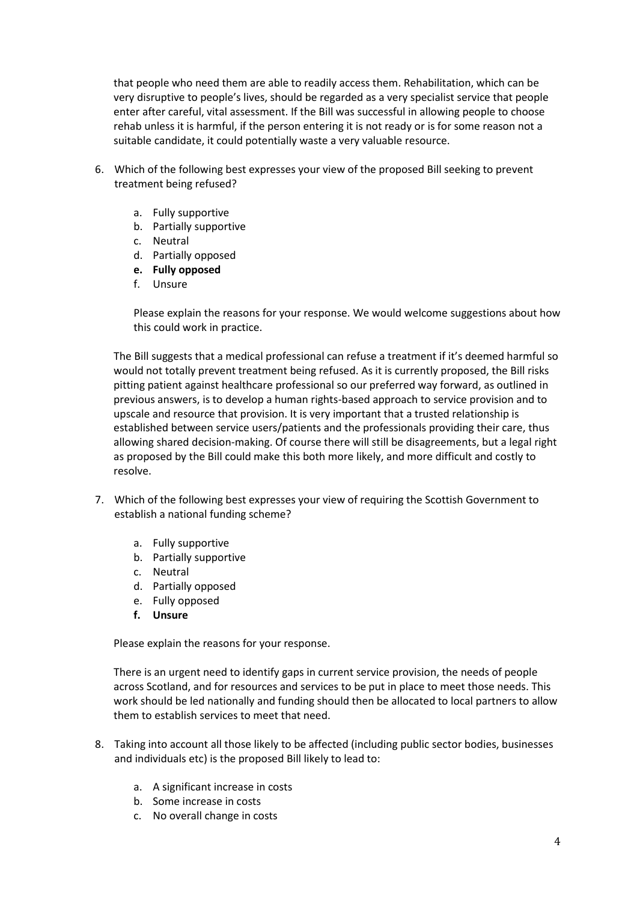that people who need them are able to readily access them. Rehabilitation, which can be very disruptive to people's lives, should be regarded as a very specialist service that people enter after careful, vital assessment. If the Bill was successful in allowing people to choose rehab unless it is harmful, if the person entering it is not ready or is for some reason not a suitable candidate, it could potentially waste a very valuable resource.

- 6. Which of the following best expresses your view of the proposed Bill seeking to prevent treatment being refused?
	- a. Fully supportive
	- b. Partially supportive
	- c. Neutral
	- d. Partially opposed
	- **e. Fully opposed**
	- f. Unsure

Please explain the reasons for your response. We would welcome suggestions about how this could work in practice.

The Bill suggests that a medical professional can refuse a treatment if it's deemed harmful so would not totally prevent treatment being refused. As it is currently proposed, the Bill risks pitting patient against healthcare professional so our preferred way forward, as outlined in previous answers, is to develop a human rights-based approach to service provision and to upscale and resource that provision. It is very important that a trusted relationship is established between service users/patients and the professionals providing their care, thus allowing shared decision-making. Of course there will still be disagreements, but a legal right as proposed by the Bill could make this both more likely, and more difficult and costly to resolve.

- 7. Which of the following best expresses your view of requiring the Scottish Government to establish a national funding scheme?
	- a. Fully supportive
	- b. Partially supportive
	- c. Neutral
	- d. Partially opposed
	- e. Fully opposed
	- **f. Unsure**

Please explain the reasons for your response.

There is an urgent need to identify gaps in current service provision, the needs of people across Scotland, and for resources and services to be put in place to meet those needs. This work should be led nationally and funding should then be allocated to local partners to allow them to establish services to meet that need.

- 8. Taking into account all those likely to be affected (including public sector bodies, businesses and individuals etc) is the proposed Bill likely to lead to:
	- a. A significant increase in costs
	- b. Some increase in costs
	- c. No overall change in costs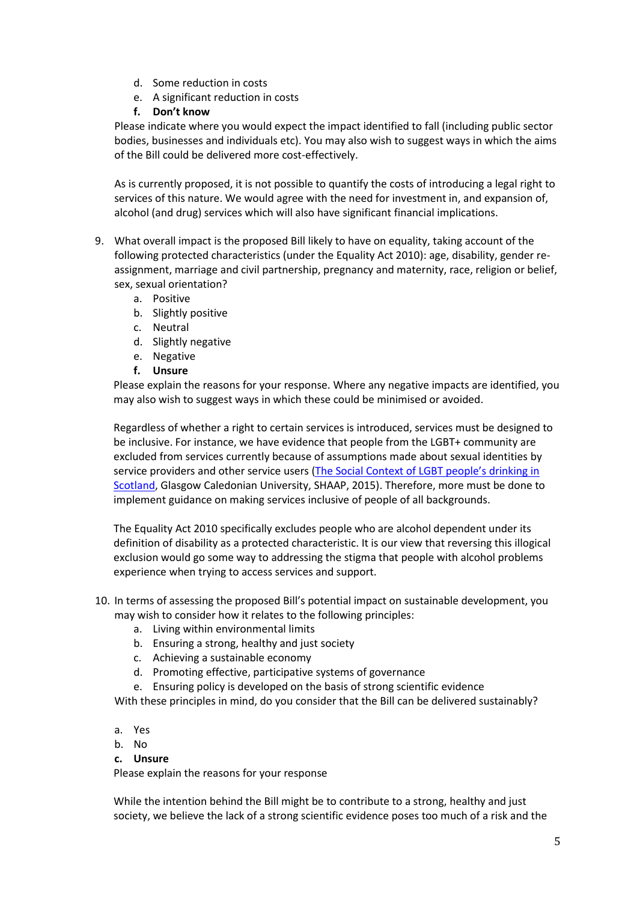- d. Some reduction in costs
- e. A significant reduction in costs
- **f. Don't know**

Please indicate where you would expect the impact identified to fall (including public sector bodies, businesses and individuals etc). You may also wish to suggest ways in which the aims of the Bill could be delivered more cost-effectively.

As is currently proposed, it is not possible to quantify the costs of introducing a legal right to services of this nature. We would agree with the need for investment in, and expansion of, alcohol (and drug) services which will also have significant financial implications.

- 9. What overall impact is the proposed Bill likely to have on equality, taking account of the following protected characteristics (under the Equality Act 2010): age, disability, gender reassignment, marriage and civil partnership, pregnancy and maternity, race, religion or belief, sex, sexual orientation?
	- a. Positive
	- b. Slightly positive
	- c. Neutral
	- d. Slightly negative
	- e. Negative
	- **f. Unsure**

Please explain the reasons for your response. Where any negative impacts are identified, you may also wish to suggest ways in which these could be minimised or avoided.

Regardless of whether a right to certain services is introduced, services must be designed to be inclusive. For instance, we have evidence that people from the LGBT+ community are excluded from services currently because of assumptions made about sexual identities by service providers and other service users (The Social Context of LGBT people's drinking in [Scotland,](https://shaap.org.uk/downloads/86-shaap-glass-report-web-pdf/viewdocument/86.html) Glasgow Caledonian University, SHAAP, 2015). Therefore, more must be done to implement guidance on making services inclusive of people of all backgrounds.

The Equality Act 2010 specifically excludes people who are alcohol dependent under its definition of disability as a protected characteristic. It is our view that reversing this illogical exclusion would go some way to addressing the stigma that people with alcohol problems experience when trying to access services and support.

- 10. In terms of assessing the proposed Bill's potential impact on sustainable development, you may wish to consider how it relates to the following principles:
	- a. Living within environmental limits
	- b. Ensuring a strong, healthy and just society
	- c. Achieving a sustainable economy
	- d. Promoting effective, participative systems of governance
	- e. Ensuring policy is developed on the basis of strong scientific evidence

With these principles in mind, do you consider that the Bill can be delivered sustainably?

- a. Yes
- b. No
- **c. Unsure**

Please explain the reasons for your response

While the intention behind the Bill might be to contribute to a strong, healthy and just society, we believe the lack of a strong scientific evidence poses too much of a risk and the